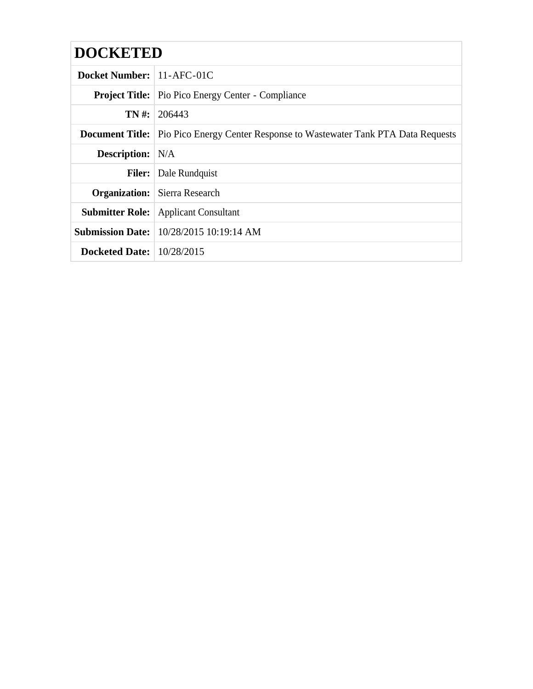| <b>DOCKETED</b>                    |                                                                                             |  |
|------------------------------------|---------------------------------------------------------------------------------------------|--|
| Docket Number: 11-AFC-01C          |                                                                                             |  |
|                                    | <b>Project Title:</b> Pio Pico Energy Center - Compliance                                   |  |
|                                    | $TN \#: 206443$                                                                             |  |
|                                    | <b>Document Title:</b> Pio Pico Energy Center Response to Wastewater Tank PTA Data Requests |  |
| <b>Description:</b> N/A            |                                                                                             |  |
|                                    | <b>Filer:</b> Dale Rundquist                                                                |  |
|                                    | <b>Organization:</b> Sierra Research                                                        |  |
|                                    | <b>Submitter Role:</b> Applicant Consultant                                                 |  |
|                                    | <b>Submission Date:</b> 10/28/2015 10:19:14 AM                                              |  |
| <b>Docketed Date:</b> $10/28/2015$ |                                                                                             |  |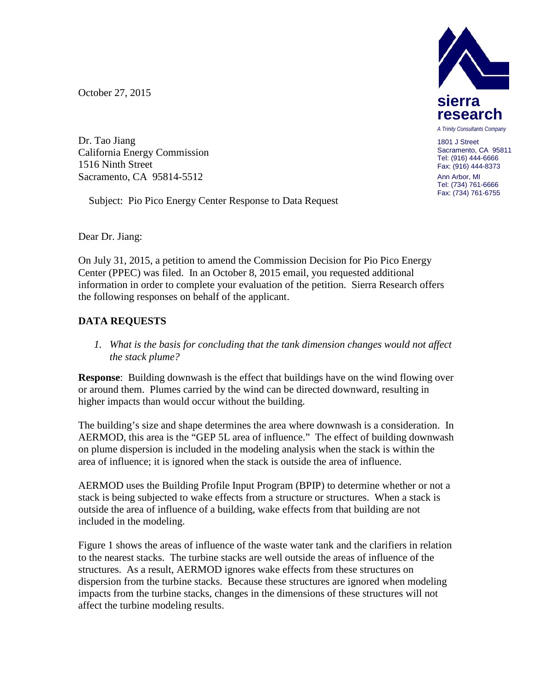October 27, 2015

Dr. Tao Jiang California Energy Commission 1516 Ninth Street Sacramento, CA 95814-5512

Subject: Pio Pico Energy Center Response to Data Request

Dear Dr. Jiang:

On July 31, 2015, a petition to amend the Commission Decision for Pio Pico Energy Center (PPEC) was filed. In an October 8, 2015 email, you requested additional information in order to complete your evaluation of the petition. Sierra Research offers the following responses on behalf of the applicant.

## **DATA REQUESTS**

*1. What is the basis for concluding that the tank dimension changes would not affect the stack plume?* 

**Response**: Building downwash is the effect that buildings have on the wind flowing over or around them. Plumes carried by the wind can be directed downward, resulting in higher impacts than would occur without the building.

The building's size and shape determines the area where downwash is a consideration. In AERMOD, this area is the "GEP 5L area of influence." The effect of building downwash on plume dispersion is included in the modeling analysis when the stack is within the area of influence; it is ignored when the stack is outside the area of influence.

AERMOD uses the Building Profile Input Program (BPIP) to determine whether or not a stack is being subjected to wake effects from a structure or structures. When a stack is outside the area of influence of a building, wake effects from that building are not included in the modeling.

Figure 1 shows the areas of influence of the waste water tank and the clarifiers in relation to the nearest stacks. The turbine stacks are well outside the areas of influence of the structures. As a result, AERMOD ignores wake effects from these structures on dispersion from the turbine stacks. Because these structures are ignored when modeling impacts from the turbine stacks, changes in the dimensions of these structures will not affect the turbine modeling results.



1801 J Street Sacramento, CA 95811 Tel: (916) 444-6666 Fax: (916) 444-8373

Ann Arbor, MI Tel: (734) 761-6666 Fax: (734) 761-6755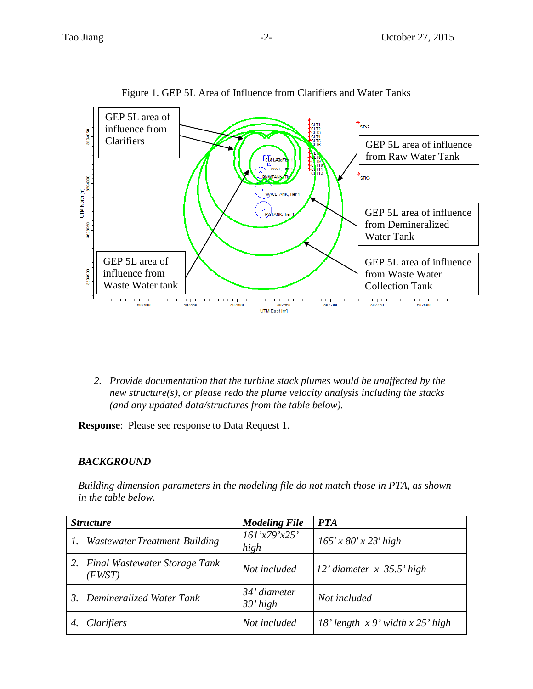

Figure 1. GEP 5L Area of Influence from Clarifiers and Water Tanks

*2. Provide documentation that the turbine stack plumes would be unaffected by the new structure(s), or please redo the plume velocity analysis including the stacks (and any updated data/structures from the table below).*

**Response**: Please see response to Data Request 1.

## *BACKGROUND*

*Building dimension parameters in the modeling file do not match those in PTA, as shown in the table below.*

| <b>Structure</b> |                                         | <b>Modeling File</b>       | <b>PTA</b>                             |
|------------------|-----------------------------------------|----------------------------|----------------------------------------|
|                  | Wastewater Treatment Building           | 161'x79'x25'<br>high       | $165' \times 80' \times 23'$ high      |
|                  | Final Wastewater Storage Tank<br>(FWST) | Not included               | $12'$ diameter $x$ 35.5' high          |
|                  | 3. Demineralized Water Tank             | 34' diameter<br>$39'$ high | Not included                           |
|                  | Clarifiers                              | Not included               | $18'$ length $x 9'$ width $x 25'$ high |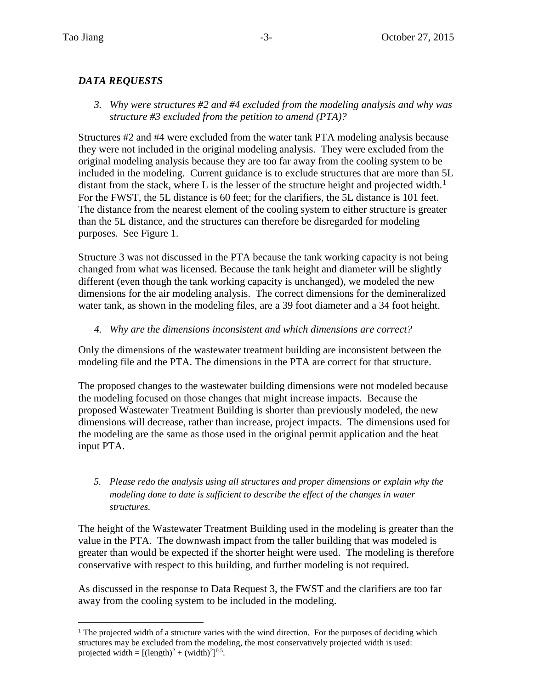## *DATA REQUESTS*

*3. Why were structures #2 and #4 excluded from the modeling analysis and why was structure #3 excluded from the petition to amend (PTA)?*

Structures #2 and #4 were excluded from the water tank PTA modeling analysis because they were not included in the original modeling analysis. They were excluded from the original modeling analysis because they are too far away from the cooling system to be included in the modeling. Current guidance is to exclude structures that are more than 5L distant from the stack, where L is the lesser of the structure height and projected width.<sup>[1](#page-3-0)</sup> For the FWST, the 5L distance is 60 feet; for the clarifiers, the 5L distance is 101 feet. The distance from the nearest element of the cooling system to either structure is greater than the 5L distance, and the structures can therefore be disregarded for modeling purposes. See Figure 1.

Structure 3 was not discussed in the PTA because the tank working capacity is not being changed from what was licensed. Because the tank height and diameter will be slightly different (even though the tank working capacity is unchanged), we modeled the new dimensions for the air modeling analysis. The correct dimensions for the demineralized water tank, as shown in the modeling files, are a 39 foot diameter and a 34 foot height.

## *4. Why are the dimensions inconsistent and which dimensions are correct?*

Only the dimensions of the wastewater treatment building are inconsistent between the modeling file and the PTA. The dimensions in the PTA are correct for that structure.

The proposed changes to the wastewater building dimensions were not modeled because the modeling focused on those changes that might increase impacts. Because the proposed Wastewater Treatment Building is shorter than previously modeled, the new dimensions will decrease, rather than increase, project impacts. The dimensions used for the modeling are the same as those used in the original permit application and the heat input PTA.

*5. Please redo the analysis using all structures and proper dimensions or explain why the modeling done to date is sufficient to describe the effect of the changes in water structures.*

The height of the Wastewater Treatment Building used in the modeling is greater than the value in the PTA. The downwash impact from the taller building that was modeled is greater than would be expected if the shorter height were used. The modeling is therefore conservative with respect to this building, and further modeling is not required.

As discussed in the response to Data Request 3, the FWST and the clarifiers are too far away from the cooling system to be included in the modeling.

<span id="page-3-0"></span> $1$ <sup>1</sup> The projected width of a structure varies with the wind direction. For the purposes of deciding which structures may be excluded from the modeling, the most conservatively projected width is used: projected width =  $[(length)<sup>2</sup> + (width)<sup>2</sup>]^{0.5}$ .